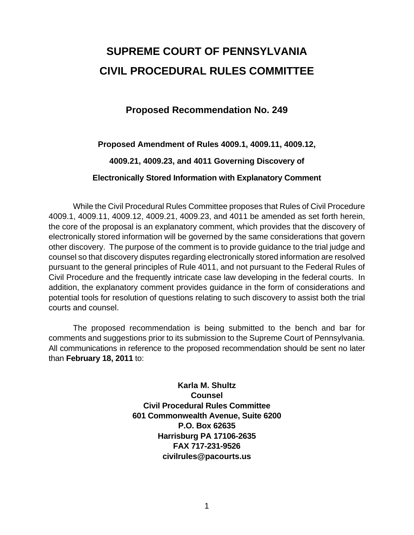# **SUPREME COURT OF PENNSYLVANIA CIVIL PROCEDURAL RULES COMMITTEE**

# **Proposed Recommendation No. 249**

## **Proposed Amendment of Rules 4009.1, 4009.11, 4009.12,**

## **4009.21, 4009.23, and 4011 Governing Discovery of**

## **Electronically Stored Information with Explanatory Comment**

 While the Civil Procedural Rules Committee proposes that Rules of Civil Procedure 4009.1, 4009.11, 4009.12, 4009.21, 4009.23, and 4011 be amended as set forth herein, the core of the proposal is an explanatory comment, which provides that the discovery of electronically stored information will be governed by the same considerations that govern other discovery. The purpose of the comment is to provide guidance to the trial judge and counsel so that discovery disputes regarding electronically stored information are resolved pursuant to the general principles of Rule 4011, and not pursuant to the Federal Rules of Civil Procedure and the frequently intricate case law developing in the federal courts. In addition, the explanatory comment provides guidance in the form of considerations and potential tools for resolution of questions relating to such discovery to assist both the trial courts and counsel.

The proposed recommendation is being submitted to the bench and bar for comments and suggestions prior to its submission to the Supreme Court of Pennsylvania. All communications in reference to the proposed recommendation should be sent no later than **February 18, 2011** to:

> **Karla M. Shultz Counsel Civil Procedural Rules Committee 601 Commonwealth Avenue, Suite 6200 P.O. Box 62635 Harrisburg PA 17106-2635 FAX 717-231-9526 civilrules@pacourts.us**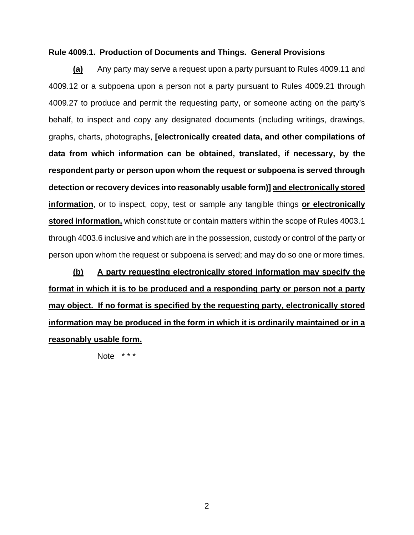#### **Rule 4009.1. Production of Documents and Things. General Provisions**

 **(a)** Any party may serve a request upon a party pursuant to Rules 4009.11 and 4009.12 or a subpoena upon a person not a party pursuant to Rules 4009.21 through 4009.27 to produce and permit the requesting party, or someone acting on the party's behalf, to inspect and copy any designated documents (including writings, drawings, graphs, charts, photographs, **[electronically created data, and other compilations of data from which information can be obtained, translated, if necessary, by the respondent party or person upon whom the request or subpoena is served through detection or recovery devices into reasonably usable form)] and electronically stored information**, or to inspect, copy, test or sample any tangible things **or electronically stored information,** which constitute or contain matters within the scope of Rules 4003.1 through 4003.6 inclusive and which are in the possession, custody or control of the party or person upon whom the request or subpoena is served; and may do so one or more times.

**(b) A party requesting electronically stored information may specify the format in which it is to be produced and a responding party or person not a party may object. If no format is specified by the requesting party, electronically stored information may be produced in the form in which it is ordinarily maintained or in a reasonably usable form.**

Note \*\*\*

2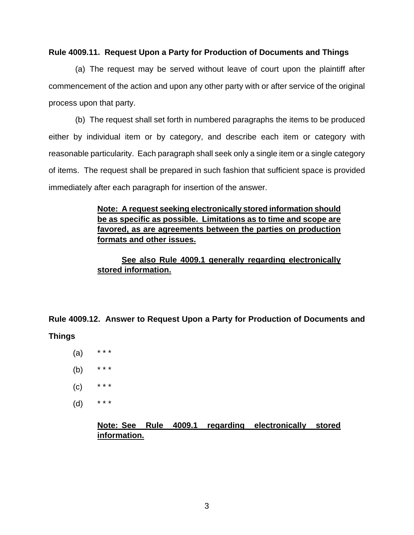#### **Rule 4009.11. Request Upon a Party for Production of Documents and Things**

 (a) The request may be served without leave of court upon the plaintiff after commencement of the action and upon any other party with or after service of the original process upon that party.

 (b) The request shall set forth in numbered paragraphs the items to be produced either by individual item or by category, and describe each item or category with reasonable particularity. Each paragraph shall seek only a single item or a single category of items. The request shall be prepared in such fashion that sufficient space is provided immediately after each paragraph for insertion of the answer.

## **Note: A request seeking electronically stored information should be as specific as possible. Limitations as to time and scope are favored, as are agreements between the parties on production formats and other issues.**

## **See also Rule 4009.1 generally regarding electronically stored information.**

**Rule 4009.12. Answer to Request Upon a Party for Production of Documents and** 

#### **Things**

- $(a)$
- (b)  $***$
- $(C)$  \* \* \*
- (d) \* \* \*

## **Note: See Rule 4009.1 regarding electronically stored information.**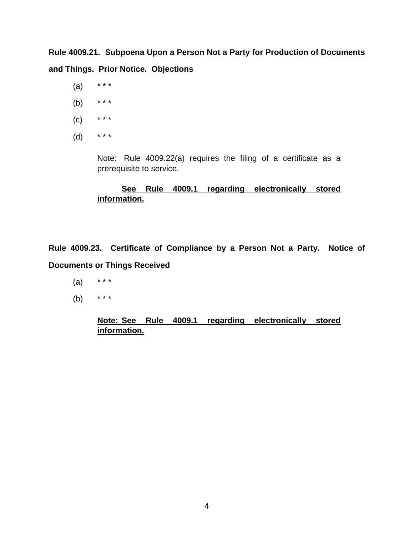**Rule 4009.21. Subpoena Upon a Person Not a Party for Production of Documents and Things. Prior Notice. Objections** 

- $(a)$  \* \* \*
- (b) \* \* \*
- $(C)$  \* \* \*
- (d) \* \* \*

Note: Rule 4009.22(a) requires the filing of a certificate as a prerequisite to service.

# **See Rule 4009.1 regarding electronically stored information.**

**Rule 4009.23. Certificate of Compliance by a Person Not a Party. Notice of Documents or Things Received** 

- (a) \* \* \*
- (b) \* \* \*

# **Note: See Rule 4009.1 regarding electronically stored information.**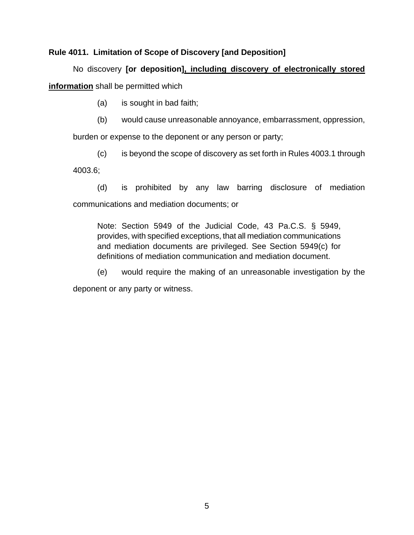## **Rule 4011. Limitation of Scope of Discovery [and Deposition]**

 No discovery **[or deposition], including discovery of electronically stored information** shall be permitted which

(a) is sought in bad faith;

(b) would cause unreasonable annoyance, embarrassment, oppression,

burden or expense to the deponent or any person or party;

(c) is beyond the scope of discovery as set forth in Rules 4003.1 through 4003.6;

(d) is prohibited by any law barring disclosure of mediation communications and mediation documents; or

Note: Section 5949 of the Judicial Code, 43 Pa.C.S. § 5949, provides, with specified exceptions, that all mediation communications and mediation documents are privileged. See Section 5949(c) for definitions of mediation communication and mediation document.

(e) would require the making of an unreasonable investigation by the

deponent or any party or witness.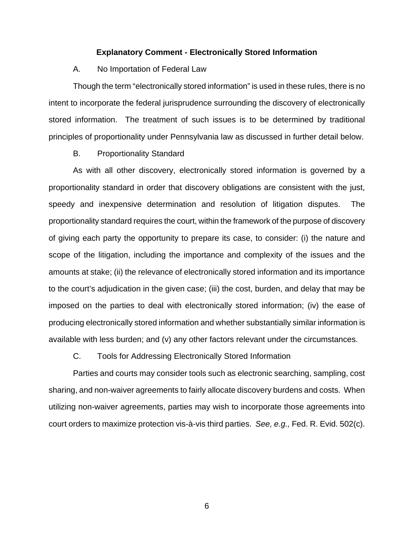#### **Explanatory Comment - Electronically Stored Information**

#### A. No Importation of Federal Law

Though the term "electronically stored information" is used in these rules, there is no intent to incorporate the federal jurisprudence surrounding the discovery of electronically stored information. The treatment of such issues is to be determined by traditional principles of proportionality under Pennsylvania law as discussed in further detail below.

#### B. Proportionality Standard

As with all other discovery, electronically stored information is governed by a proportionality standard in order that discovery obligations are consistent with the just, speedy and inexpensive determination and resolution of litigation disputes. The proportionality standard requires the court, within the framework of the purpose of discovery of giving each party the opportunity to prepare its case, to consider: (i) the nature and scope of the litigation, including the importance and complexity of the issues and the amounts at stake; (ii) the relevance of electronically stored information and its importance to the court's adjudication in the given case; (iii) the cost, burden, and delay that may be imposed on the parties to deal with electronically stored information; (iv) the ease of producing electronically stored information and whether substantially similar information is available with less burden; and (v) any other factors relevant under the circumstances.

C. Tools for Addressing Electronically Stored Information

Parties and courts may consider tools such as electronic searching, sampling, cost sharing, and non-waiver agreements to fairly allocate discovery burdens and costs. When utilizing non-waiver agreements, parties may wish to incorporate those agreements into court orders to maximize protection vis-à-vis third parties. *See, e.g.,* Fed. R. Evid. 502(c).

6